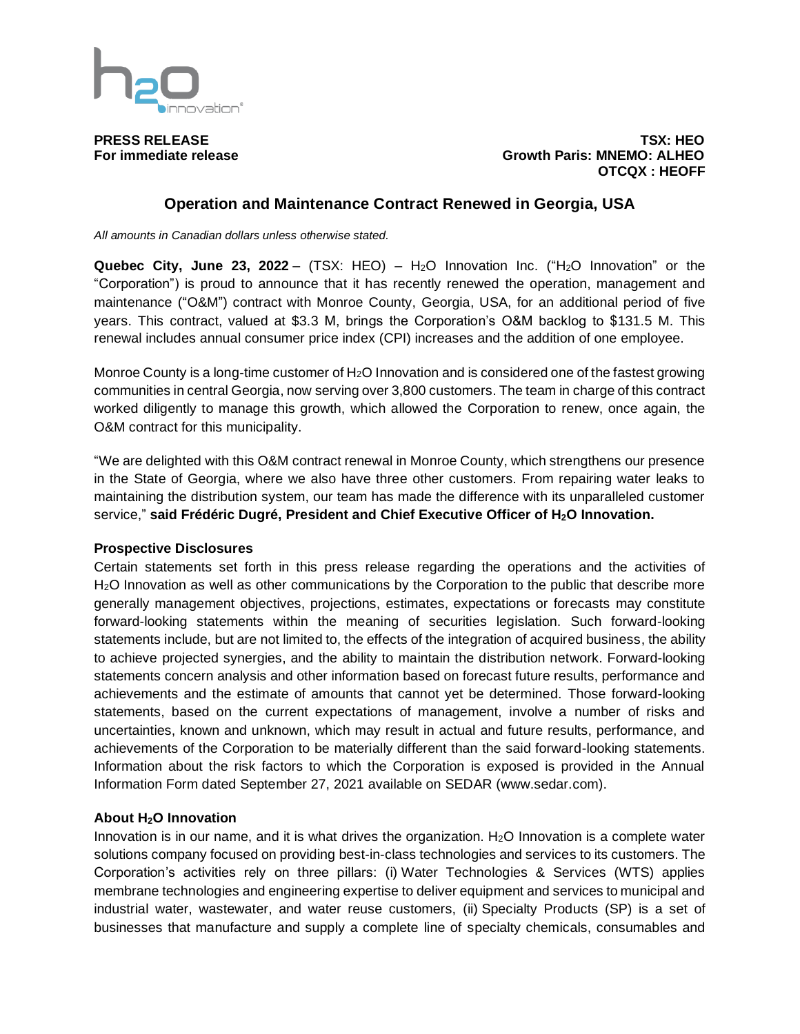

**PRESS RELEASE TSX: HEO For immediate release Growth Paris: MNEMO: ALHEO OTCQX : HEOFF**

## **Operation and Maintenance Contract Renewed in Georgia, USA**

*All amounts in Canadian dollars unless otherwise stated.*

**Quebec City, June 23, 2022** – (TSX: HEO) – H2O Innovation Inc. ("H2O Innovation" or the "Corporation") is proud to announce that it has recently renewed the operation, management and maintenance ("O&M") contract with Monroe County, Georgia, USA, for an additional period of five years. This contract, valued at \$3.3 M, brings the Corporation's O&M backlog to \$131.5 M. This renewal includes annual consumer price index (CPI) increases and the addition of one employee.

Monroe County is a long-time customer of H2O Innovation and is considered one of the fastest growing communities in central Georgia, now serving over 3,800 customers. The team in charge of this contract worked diligently to manage this growth, which allowed the Corporation to renew, once again, the O&M contract for this municipality.

"We are delighted with this O&M contract renewal in Monroe County, which strengthens our presence in the State of Georgia, where we also have three other customers. From repairing water leaks to maintaining the distribution system, our team has made the difference with its unparalleled customer service," **said Frédéric Dugré, President and Chief Executive Officer of H2O Innovation.**

## **Prospective Disclosures**

Certain statements set forth in this press release regarding the operations and the activities of H2O Innovation as well as other communications by the Corporation to the public that describe more generally management objectives, projections, estimates, expectations or forecasts may constitute forward-looking statements within the meaning of securities legislation. Such forward-looking statements include, but are not limited to, the effects of the integration of acquired business, the ability to achieve projected synergies, and the ability to maintain the distribution network. Forward-looking statements concern analysis and other information based on forecast future results, performance and achievements and the estimate of amounts that cannot yet be determined. Those forward-looking statements, based on the current expectations of management, involve a number of risks and uncertainties, known and unknown, which may result in actual and future results, performance, and achievements of the Corporation to be materially different than the said forward-looking statements. Information about the risk factors to which the Corporation is exposed is provided in the Annual Information Form dated September 27, 2021 available on SEDAR (www.sedar.com).

## **About H2O Innovation**

Innovation is in our name, and it is what drives the organization.  $H<sub>2</sub>O$  Innovation is a complete water solutions company focused on providing best-in-class technologies and services to its customers. The Corporation's activities rely on three pillars: (i) Water Technologies & Services (WTS) applies membrane technologies and engineering expertise to deliver equipment and services to municipal and industrial water, wastewater, and water reuse customers, (ii) Specialty Products (SP) is a set of businesses that manufacture and supply a complete line of specialty chemicals, consumables and